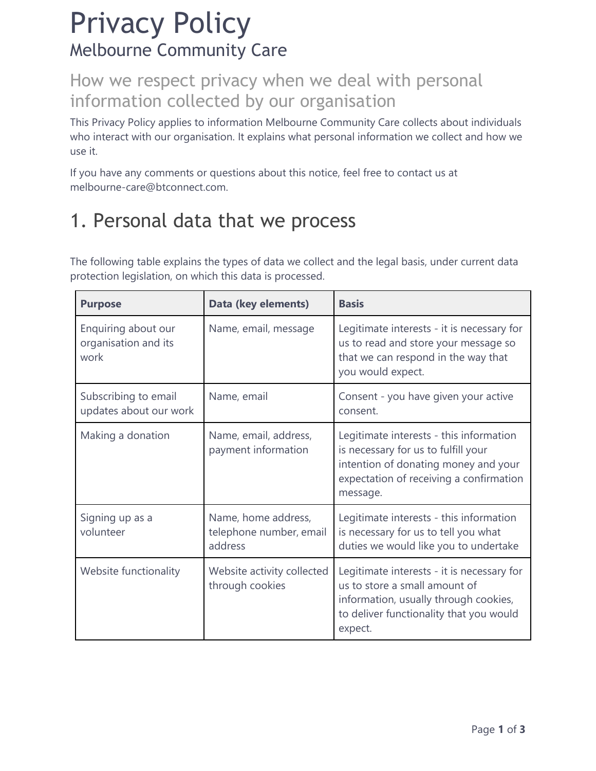# Privacy Policy Melbourne Community Care

#### How we respect privacy when we deal with personal information collected by our organisation

This Privacy Policy applies to information Melbourne Community Care collects about individuals who interact with our organisation. It explains what personal information we collect and how we use it.

If you have any comments or questions about this notice, feel free to contact us at melbourne-care@btconnect.com.

# 1. Personal data that we process

The following table explains the types of data we collect and the legal basis, under current data protection legislation, on which this data is processed.

| <b>Purpose</b>                                      | Data (key elements)                                       | <b>Basis</b>                                                                                                                                                                  |
|-----------------------------------------------------|-----------------------------------------------------------|-------------------------------------------------------------------------------------------------------------------------------------------------------------------------------|
| Enquiring about our<br>organisation and its<br>work | Name, email, message                                      | Legitimate interests - it is necessary for<br>us to read and store your message so<br>that we can respond in the way that<br>you would expect.                                |
| Subscribing to email<br>updates about our work      | Name, email                                               | Consent - you have given your active<br>consent.                                                                                                                              |
| Making a donation                                   | Name, email, address,<br>payment information              | Legitimate interests - this information<br>is necessary for us to fulfill your<br>intention of donating money and your<br>expectation of receiving a confirmation<br>message. |
| Signing up as a<br>volunteer                        | Name, home address,<br>telephone number, email<br>address | Legitimate interests - this information<br>is necessary for us to tell you what<br>duties we would like you to undertake                                                      |
| Website functionality                               | Website activity collected<br>through cookies             | Legitimate interests - it is necessary for<br>us to store a small amount of<br>information, usually through cookies,<br>to deliver functionality that you would<br>expect.    |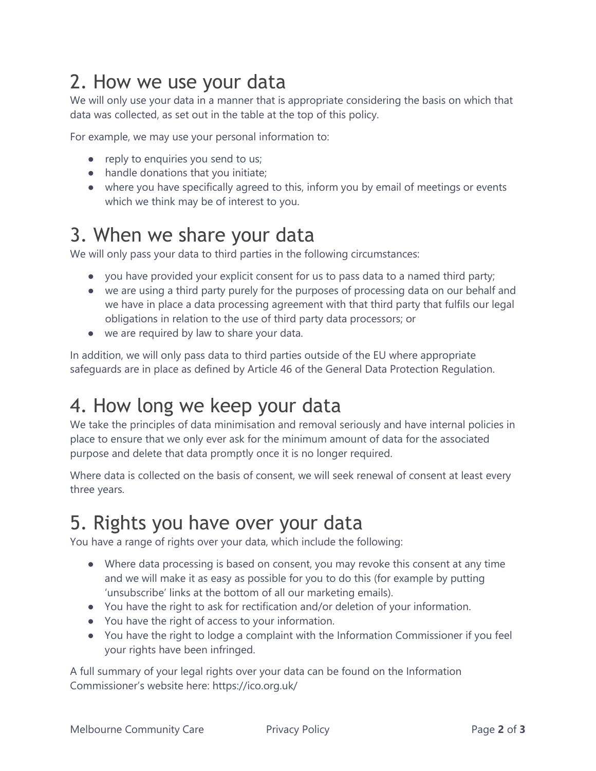# 2. How we use your data

We will only use your data in a manner that is appropriate considering the basis on which that data was collected, as set out in the table at the top of this policy.

For example, we may use your personal information to:

- reply to enquiries you send to us;
- handle donations that you initiate;
- where you have specifically agreed to this, inform you by email of meetings or events which we think may be of interest to you.

#### 3. When we share your data

We will only pass your data to third parties in the following circumstances:

- you have provided your explicit consent for us to pass data to a named third party;
- we are using a third party purely for the purposes of processing data on our behalf and we have in place a data processing agreement with that third party that fulfils our legal obligations in relation to the use of third party data processors; or
- we are required by law to share your data.

In addition, we will only pass data to third parties outside of the EU where appropriate safeguards are in place as defined by Article 46 of the General Data Protection Regulation.

### 4. How long we keep your data

We take the principles of data minimisation and removal seriously and have internal policies in place to ensure that we only ever ask for the minimum amount of data for the associated purpose and delete that data promptly once it is no longer required.

Where data is collected on the basis of consent, we will seek renewal of consent at least every three years.

### 5. Rights you have over your data

You have a range of rights over your data, which include the following:

- Where data processing is based on consent, you may revoke this consent at any time and we will make it as easy as possible for you to do this (for example by putting 'unsubscribe' links at the bottom of all our marketing emails).
- You have the right to ask for rectification and/or deletion of your information.
- You have the right of access to your information.
- You have the right to lodge a complaint with the Information Commissioner if you feel your rights have been infringed.

A full summary of your legal rights over your data can be found on the Information Commissioner's website here: https://ico.org.uk/